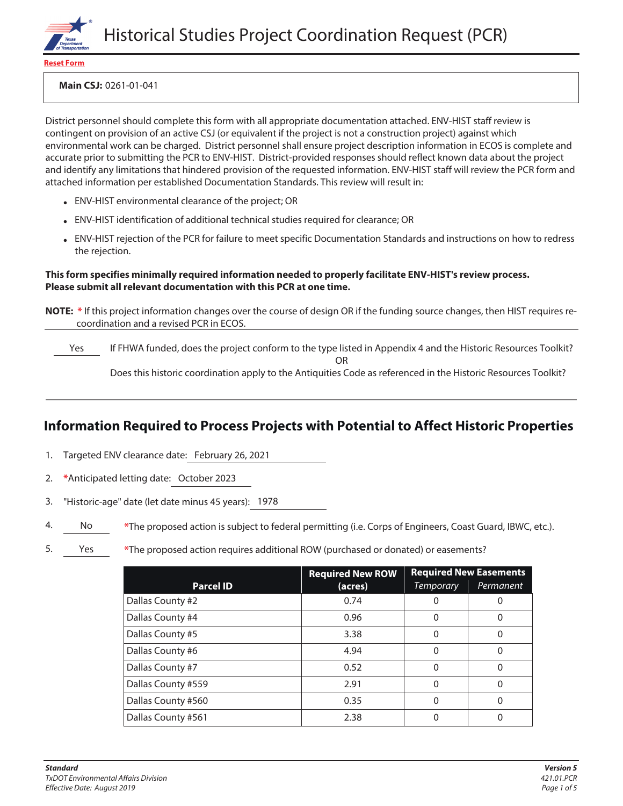

**Reset Form**

**Main CSJ:** 0261-01-041

District personnel should complete this form with all appropriate documentation attached. ENV-HIST staff review is contingent on provision of an active CSJ (or equivalent if the project is not a construction project) against which environmental work can be charged. District personnel shall ensure project description information in ECOS is complete and accurate prior to submitting the PCR to ENV-HIST. District-provided responses should reflect known data about the project and identify any limitations that hindered provision of the requested information. ENV-HIST staff will review the PCR form and attached information per established Documentation Standards. This review will result in:

- ENV-HIST environmental clearance of the project; OR
- ENV-HIST identification of additional technical studies required for clearance; OR
- ENV-HIST rejection of the PCR for failure to meet specific Documentation Standards and instructions on how to redress the rejection.

#### **This form specifies minimally required information needed to properly facilitate ENV-HIST's review process. Please submit all relevant documentation with this PCR at one time.**

**NOTE: \*** If this project information changes over the course of design OR if the funding source changes, then HIST requires recoordination and a revised PCR in ECOS.

Yes If FHWA funded, does the project conform to the type listed in Appendix 4 and the Historic Resources Toolkit? OR Does this historic coordination apply to the Antiquities Code as referenced in the Historic Resources Toolkit?

# **Information Required to Process Projects with Potential to Affect Historic Properties**

- 1. Targeted ENV clearance date: February 26, 2021
- 2. **\***Anticipated letting date: October 2023
- 3. "Historic-age" date (let date minus 45 years): 1978
- 4. No **\***The proposed action is subject to federal permitting (i.e. Corps of Engineers, Coast Guard, IBWC, etc.).
- 5. Yes **\***The proposed action requires additional ROW (purchased or donated) or easements?

|                    | <b>Required New ROW</b> | <b>Required New Easements</b> |           |
|--------------------|-------------------------|-------------------------------|-----------|
| <b>Parcel ID</b>   | (acres)                 | <b>Temporary</b>              | Permanent |
| Dallas County #2   | 0.74                    |                               |           |
| Dallas County #4   | 0.96                    |                               |           |
| Dallas County #5   | 3.38                    | Ω                             |           |
| Dallas County #6   | 4.94                    |                               |           |
| Dallas County #7   | 0.52                    | Ω                             |           |
| Dallas County #559 | 2.91                    | 0                             |           |
| Dallas County #560 | 0.35                    | Ω                             |           |
| Dallas County #561 | 2.38                    |                               |           |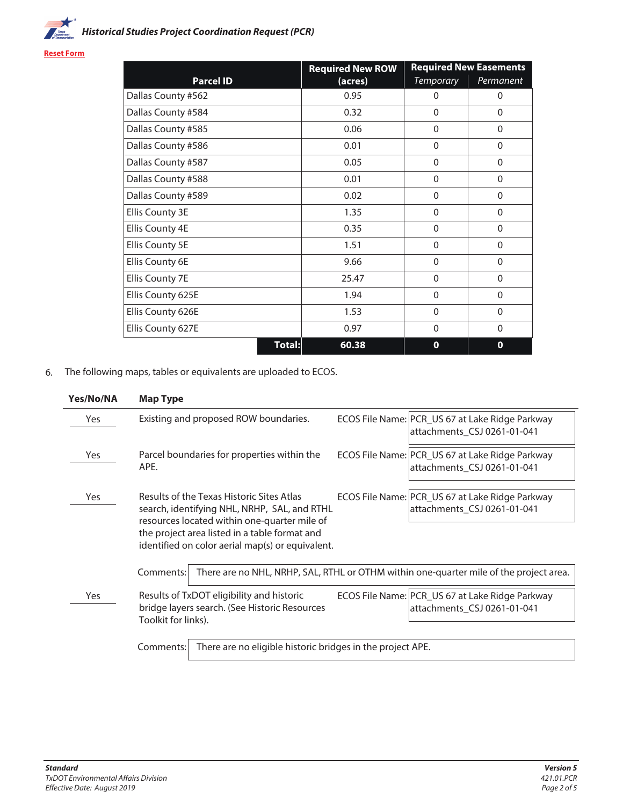

**Reset Form**

|                        |        | <b>Required New ROW</b> | <b>Required New Easements</b> |              |
|------------------------|--------|-------------------------|-------------------------------|--------------|
| <b>Parcel ID</b>       |        | (acres)                 | <b>Temporary</b>              | Permanent    |
| Dallas County #562     |        | 0.95                    | $\Omega$                      | $\Omega$     |
| Dallas County #584     |        | 0.32                    | $\Omega$                      | $\Omega$     |
| Dallas County #585     |        | 0.06                    | $\overline{0}$                | $\mathbf{0}$ |
| Dallas County #586     |        | 0.01                    | $\mathbf{0}$                  | $\mathbf{0}$ |
| Dallas County #587     |        | 0.05                    | $\Omega$                      | $\mathbf{0}$ |
| Dallas County #588     |        | 0.01                    | $\Omega$                      | $\mathbf{0}$ |
| Dallas County #589     |        | 0.02                    | $\Omega$                      | $\mathbf{0}$ |
| Ellis County 3E        |        | 1.35                    | $\Omega$                      | $\mathbf{0}$ |
| Ellis County 4E        |        | 0.35                    | $\Omega$                      | $\Omega$     |
| <b>Ellis County 5E</b> |        | 1.51                    | $\Omega$                      | $\Omega$     |
| Ellis County 6E        |        | 9.66                    | $\mathbf{0}$                  | $\Omega$     |
| Ellis County 7E        |        | 25.47                   | $\Omega$                      | $\mathbf{0}$ |
| Ellis County 625E      |        | 1.94                    | $\Omega$                      | $\mathbf{0}$ |
| Ellis County 626E      |        | 1.53                    | $\Omega$                      | $\mathbf{0}$ |
| Ellis County 627E      |        | 0.97                    | $\Omega$                      | $\Omega$     |
|                        | Total: | 60.38                   | $\mathbf 0$                   | $\mathbf{o}$ |

6. The following maps, tables or equivalents are uploaded to ECOS.

| Yes/No/NA | <b>Map Type</b>                                                                                                                                                                                                                                |                                                                                        |
|-----------|------------------------------------------------------------------------------------------------------------------------------------------------------------------------------------------------------------------------------------------------|----------------------------------------------------------------------------------------|
| Yes       | Existing and proposed ROW boundaries.                                                                                                                                                                                                          | ECOS File Name: PCR_US 67 at Lake Ridge Parkway<br>attachments_CSJ 0261-01-041         |
| Yes       | Parcel boundaries for properties within the<br>APE.                                                                                                                                                                                            | ECOS File Name: PCR_US 67 at Lake Ridge Parkway<br>attachments_CSJ 0261-01-041         |
| Yes       | Results of the Texas Historic Sites Atlas<br>search, identifying NHL, NRHP, SAL, and RTHL<br>resources located within one-quarter mile of<br>the project area listed in a table format and<br>identified on color aerial map(s) or equivalent. | ECOS File Name: PCR_US 67 at Lake Ridge Parkway<br>attachments_CSJ 0261-01-041         |
|           | Comments:                                                                                                                                                                                                                                      | There are no NHL, NRHP, SAL, RTHL or OTHM within one-quarter mile of the project area. |
| Yes       | Results of TxDOT eligibility and historic<br>bridge layers search. (See Historic Resources<br>Toolkit for links).                                                                                                                              | ECOS File Name: PCR_US 67 at Lake Ridge Parkway<br>attachments_CSJ 0261-01-041         |
|           | There are no eligible historic bridges in the project APE.<br>Comments:                                                                                                                                                                        |                                                                                        |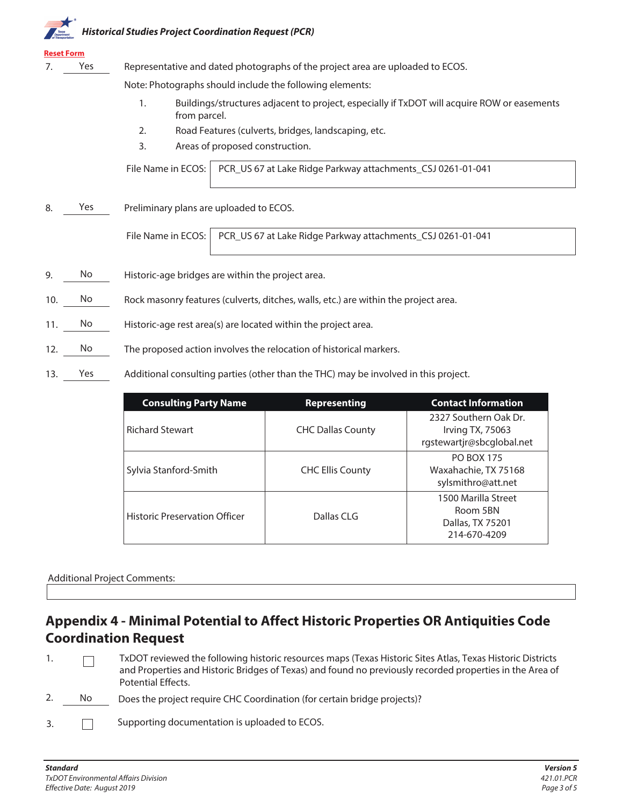# **Historical Studies Project Coordination Request (PCR)**

## **Reset Form**

7. Yes Representative and dated photographs of the project area are uploaded to ECOS.

Note: Photographs should include the following elements:

- 1. Buildings/structures adjacent to project, especially if TxDOT will acquire ROW or easements from parcel.
- 2. Road Features (culverts, bridges, landscaping, etc.
- 3. Areas of proposed construction.

File Name in ECOS: | PCR\_US 67 at Lake Ridge Parkway attachments\_CSJ 0261-01-041

8. Yes Preliminary plans are uploaded to ECOS.

File Name in ECOS: PCR US 67 at Lake Ridge Parkway attachments CSJ 0261-01-041

- 9. No Historic-age bridges are within the project area.
- 10. No Rock masonry features (culverts, ditches, walls, etc.) are within the project area.
- 11. No Historic-age rest area(s) are located within the project area.
- 12. No The proposed action involves the relocation of historical markers.
- 13. Yes Additional consulting parties (other than the THC) may be involved in this project.

| <b>Consulting Party Name</b>         | <b>Representing</b>      | <b>Contact Information</b>                                             |  |
|--------------------------------------|--------------------------|------------------------------------------------------------------------|--|
| <b>Richard Stewart</b>               | <b>CHC Dallas County</b> | 2327 Southern Oak Dr.<br>Irving TX, 75063<br>rgstewartjr@sbcglobal.net |  |
| Sylvia Stanford-Smith                | <b>CHC Ellis County</b>  | <b>PO BOX 175</b><br>Waxahachie, TX 75168<br>sylsmithro@att.net        |  |
| <b>Historic Preservation Officer</b> | Dallas CLG               | 1500 Marilla Street<br>Room 5BN<br>Dallas, TX 75201<br>214-670-4209    |  |

### Additional Project Comments:

# **Appendix 4 - Minimal Potential to Affect Historic Properties OR Antiquities Code Coordination Request**

- 1. TxDOT reviewed the following historic resources maps (Texas Historic Sites Atlas, Texas Historic Districts  $\Box$ and Properties and Historic Bridges of Texas) and found no previously recorded properties in the Area of Potential Effects.
- No Does the project require CHC Coordination (for certain bridge projects)? 2.
- Supporting documentation is uploaded to ECOS. 3.  $\Box$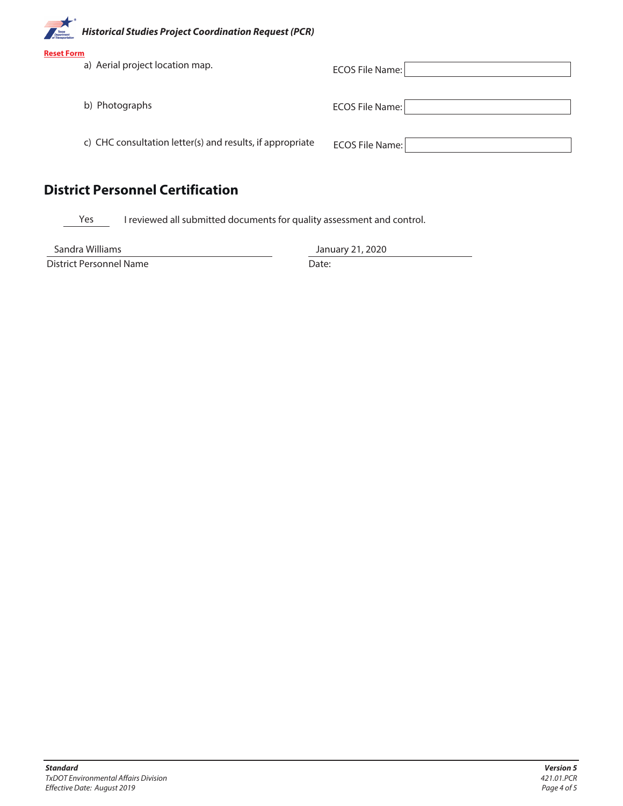**Historical Studies Project Coordination Request (PCR) Reset Form** a) Aerial project location map. ECOS File Name: b) Photographs **ECOS File Name:** c) CHC consultation letter(s) and results, if appropriate ECOS File Name: **District Personnel Certification**

Yes I reviewed all submitted documents for quality assessment and control.

Sandra Williams

District Personnel Name

January 21, 2020

Date: